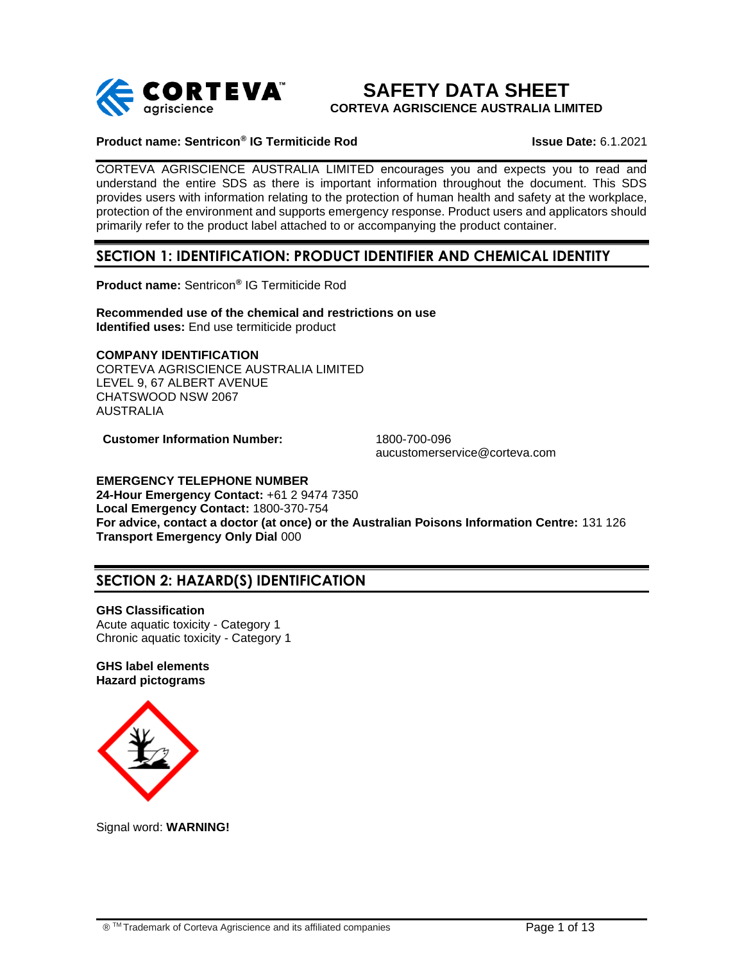

**SAFETY DATA SHEET CORTEVA AGRISCIENCE AUSTRALIA LIMITED**

### **Product name: Sentricon® IG Termiticide Rod Issue Date:** 6.1.2021

CORTEVA AGRISCIENCE AUSTRALIA LIMITED encourages you and expects you to read and understand the entire SDS as there is important information throughout the document. This SDS provides users with information relating to the protection of human health and safety at the workplace, protection of the environment and supports emergency response. Product users and applicators should primarily refer to the product label attached to or accompanying the product container.

## **SECTION 1: IDENTIFICATION: PRODUCT IDENTIFIER AND CHEMICAL IDENTITY**

**Product name:** Sentricon**®** IG Termiticide Rod

**Recommended use of the chemical and restrictions on use Identified uses:** End use termiticide product

## **COMPANY IDENTIFICATION**

CORTEVA AGRISCIENCE AUSTRALIA LIMITED LEVEL 9, 67 ALBERT AVENUE CHATSWOOD NSW 2067 AUSTRALIA

**Customer Information Number:** 1800-700-096

aucustomerservice@corteva.com

### **EMERGENCY TELEPHONE NUMBER**

**24-Hour Emergency Contact:** +61 2 9474 7350 **Local Emergency Contact:** 1800-370-754 **For advice, contact a doctor (at once) or the Australian Poisons Information Centre:** 131 126 **Transport Emergency Only Dial** 000

# **SECTION 2: HAZARD(S) IDENTIFICATION**

**GHS Classification**  Acute aquatic toxicity - Category 1 Chronic aquatic toxicity - Category 1

#### **GHS label elements Hazard pictograms**



Signal word: **WARNING!**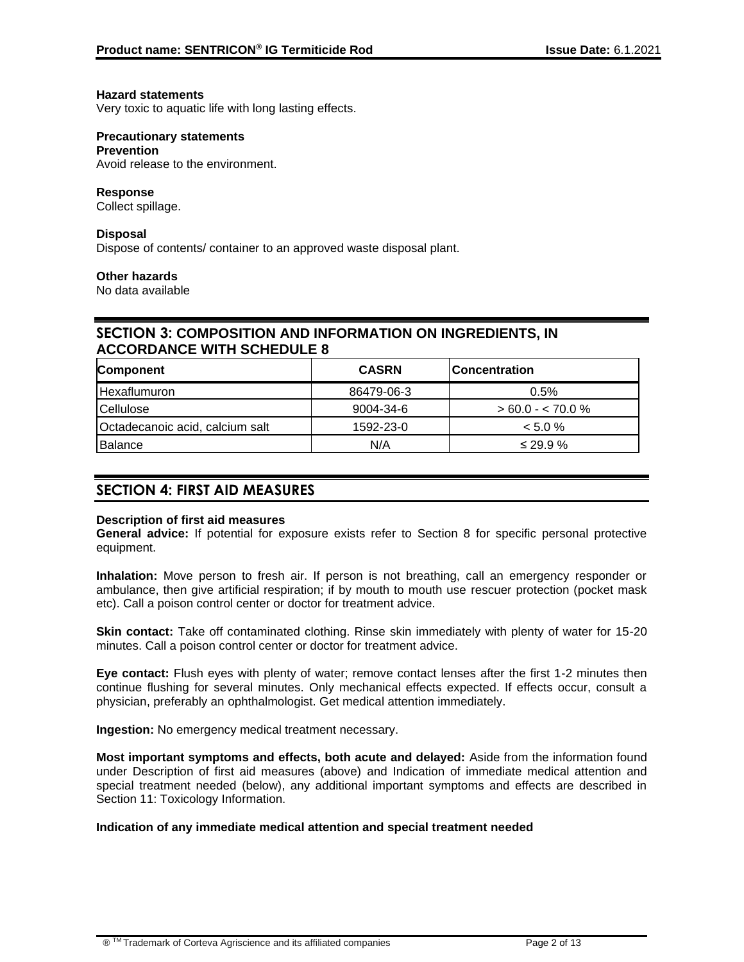### **Hazard statements**

Very toxic to aquatic life with long lasting effects.

### **Precautionary statements**

#### **Prevention**

Avoid release to the environment.

### **Response**

Collect spillage.

### **Disposal**

Dispose of contents/ container to an approved waste disposal plant.

### **Other hazards**

No data available

## **SECTION 3: COMPOSITION AND INFORMATION ON INGREDIENTS, IN ACCORDANCE WITH SCHEDULE 8**

| Component                       | <b>CASRN</b> | <b>IConcentration</b> |
|---------------------------------|--------------|-----------------------|
| <b>Hexaflumuron</b>             | 86479-06-3   | 0.5%                  |
| Cellulose                       | 9004-34-6    | $> 60.0 - < 70.0 \%$  |
| Octadecanoic acid, calcium salt | 1592-23-0    | $< 5.0 \%$            |
| <b>Balance</b>                  | N/A          | $\leq$ 29.9 %         |

## **SECTION 4: FIRST AID MEASURES**

### **Description of first aid measures**

**General advice:** If potential for exposure exists refer to Section 8 for specific personal protective equipment.

**Inhalation:** Move person to fresh air. If person is not breathing, call an emergency responder or ambulance, then give artificial respiration; if by mouth to mouth use rescuer protection (pocket mask etc). Call a poison control center or doctor for treatment advice.

**Skin contact:** Take off contaminated clothing. Rinse skin immediately with plenty of water for 15-20 minutes. Call a poison control center or doctor for treatment advice.

**Eye contact:** Flush eyes with plenty of water; remove contact lenses after the first 1-2 minutes then continue flushing for several minutes. Only mechanical effects expected. If effects occur, consult a physician, preferably an ophthalmologist. Get medical attention immediately.

**Ingestion:** No emergency medical treatment necessary.

**Most important symptoms and effects, both acute and delayed:** Aside from the information found under Description of first aid measures (above) and Indication of immediate medical attention and special treatment needed (below), any additional important symptoms and effects are described in Section 11: Toxicology Information.

### **Indication of any immediate medical attention and special treatment needed**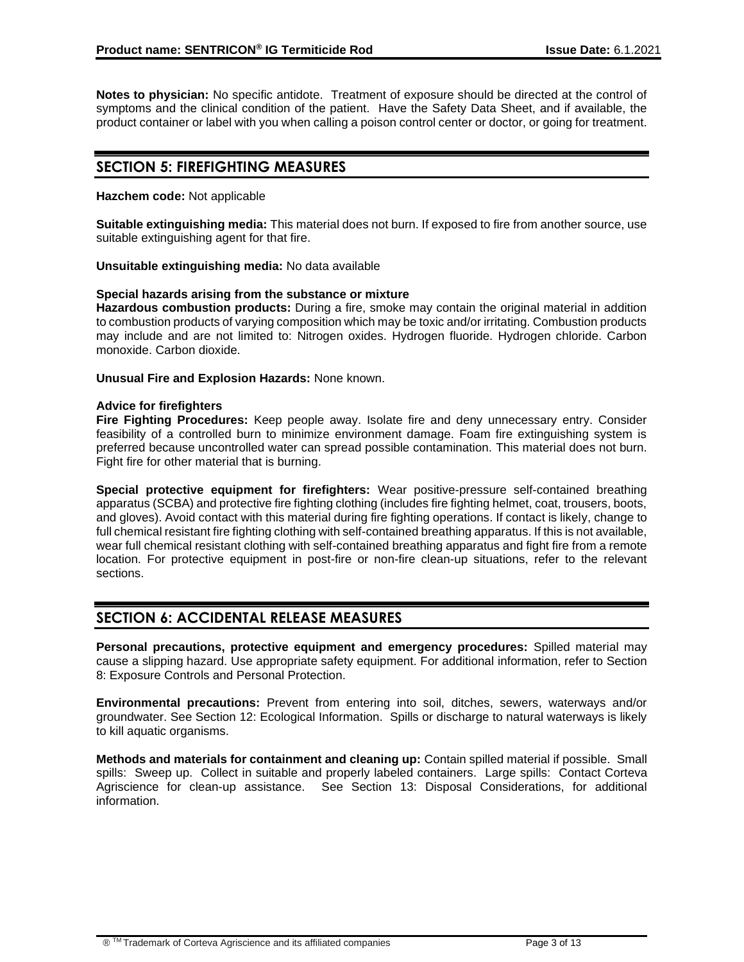**Notes to physician:** No specific antidote. Treatment of exposure should be directed at the control of symptoms and the clinical condition of the patient. Have the Safety Data Sheet, and if available, the product container or label with you when calling a poison control center or doctor, or going for treatment.

## **SECTION 5: FIREFIGHTING MEASURES**

### **Hazchem code:** Not applicable

**Suitable extinguishing media:** This material does not burn. If exposed to fire from another source, use suitable extinguishing agent for that fire.

#### **Unsuitable extinguishing media:** No data available

### **Special hazards arising from the substance or mixture**

**Hazardous combustion products:** During a fire, smoke may contain the original material in addition to combustion products of varying composition which may be toxic and/or irritating. Combustion products may include and are not limited to: Nitrogen oxides. Hydrogen fluoride. Hydrogen chloride. Carbon monoxide. Carbon dioxide.

#### **Unusual Fire and Explosion Hazards:** None known.

#### **Advice for firefighters**

**Fire Fighting Procedures:** Keep people away. Isolate fire and deny unnecessary entry. Consider feasibility of a controlled burn to minimize environment damage. Foam fire extinguishing system is preferred because uncontrolled water can spread possible contamination. This material does not burn. Fight fire for other material that is burning.

**Special protective equipment for firefighters:** Wear positive-pressure self-contained breathing apparatus (SCBA) and protective fire fighting clothing (includes fire fighting helmet, coat, trousers, boots, and gloves). Avoid contact with this material during fire fighting operations. If contact is likely, change to full chemical resistant fire fighting clothing with self-contained breathing apparatus. If this is not available, wear full chemical resistant clothing with self-contained breathing apparatus and fight fire from a remote location. For protective equipment in post-fire or non-fire clean-up situations, refer to the relevant sections.

## **SECTION 6: ACCIDENTAL RELEASE MEASURES**

**Personal precautions, protective equipment and emergency procedures:** Spilled material may cause a slipping hazard. Use appropriate safety equipment. For additional information, refer to Section 8: Exposure Controls and Personal Protection.

**Environmental precautions:** Prevent from entering into soil, ditches, sewers, waterways and/or groundwater. See Section 12: Ecological Information. Spills or discharge to natural waterways is likely to kill aquatic organisms.

**Methods and materials for containment and cleaning up:** Contain spilled material if possible. Small spills: Sweep up. Collect in suitable and properly labeled containers. Large spills: Contact Corteva Agriscience for clean-up assistance. See Section 13: Disposal Considerations, for additional information.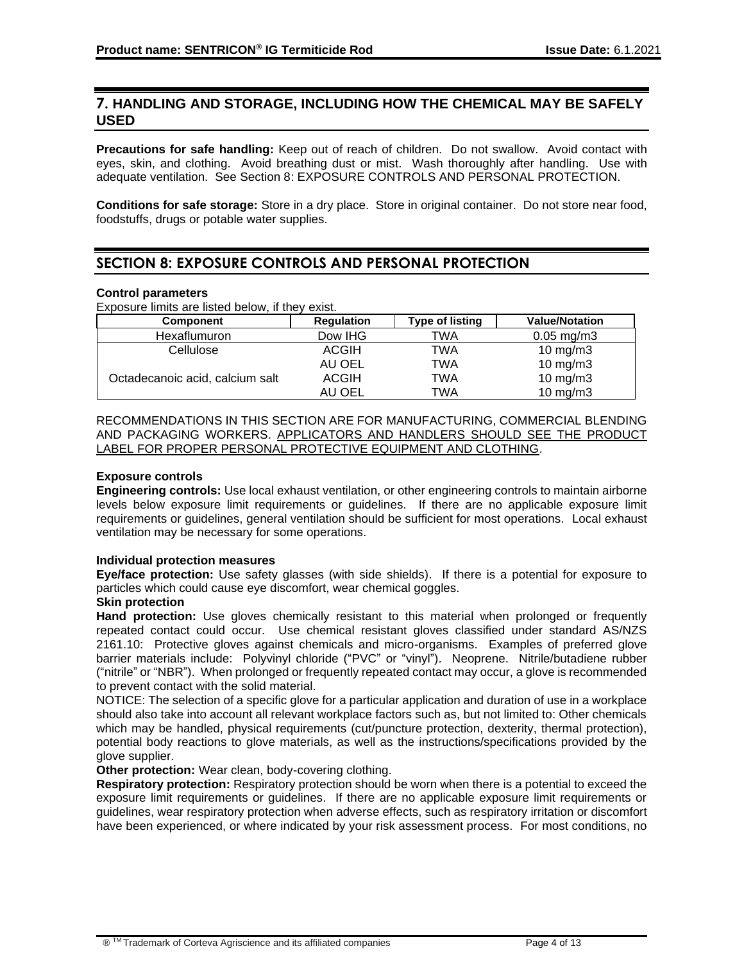## **7. HANDLING AND STORAGE, INCLUDING HOW THE CHEMICAL MAY BE SAFELY USED**

**Precautions for safe handling:** Keep out of reach of children. Do not swallow. Avoid contact with eyes, skin, and clothing. Avoid breathing dust or mist. Wash thoroughly after handling. Use with adequate ventilation. See Section 8: EXPOSURE CONTROLS AND PERSONAL PROTECTION.

**Conditions for safe storage:** Store in a dry place. Store in original container. Do not store near food, foodstuffs, drugs or potable water supplies.

## **SECTION 8: EXPOSURE CONTROLS AND PERSONAL PROTECTION**

### **Control parameters**

Exposure limits are listed below, if they exist.

| <b>Component</b>                | <b>Requlation</b> | <b>Type of listing</b> | <b>Value/Notation</b>   |
|---------------------------------|-------------------|------------------------|-------------------------|
| <b>Hexaflumuron</b>             | Dow IHG           | TWA                    | $0.05 \,\mathrm{mg/m3}$ |
| Cellulose                       | <b>ACGIH</b>      | TWA                    | $10 \text{ mg/m}$       |
|                                 | AU OEL            | TWA                    | 10 mg/m $3$             |
| Octadecanoic acid, calcium salt | <b>ACGIH</b>      | TWA                    | $10 \text{ mg/m}$       |
|                                 | AU OEL            | TWA                    | $10 \text{ mg/m}$ 3     |

RECOMMENDATIONS IN THIS SECTION ARE FOR MANUFACTURING, COMMERCIAL BLENDING AND PACKAGING WORKERS. APPLICATORS AND HANDLERS SHOULD SEE THE PRODUCT LABEL FOR PROPER PERSONAL PROTECTIVE EQUIPMENT AND CLOTHING.

### **Exposure controls**

**Engineering controls:** Use local exhaust ventilation, or other engineering controls to maintain airborne levels below exposure limit requirements or guidelines. If there are no applicable exposure limit requirements or guidelines, general ventilation should be sufficient for most operations. Local exhaust ventilation may be necessary for some operations.

### **Individual protection measures**

**Eye/face protection:** Use safety glasses (with side shields). If there is a potential for exposure to particles which could cause eye discomfort, wear chemical goggles.

### **Skin protection**

**Hand protection:** Use gloves chemically resistant to this material when prolonged or frequently repeated contact could occur. Use chemical resistant gloves classified under standard AS/NZS 2161.10: Protective gloves against chemicals and micro-organisms. Examples of preferred glove barrier materials include: Polyvinyl chloride ("PVC" or "vinyl"). Neoprene. Nitrile/butadiene rubber ("nitrile" or "NBR"). When prolonged or frequently repeated contact may occur, a glove is recommended to prevent contact with the solid material.

NOTICE: The selection of a specific glove for a particular application and duration of use in a workplace should also take into account all relevant workplace factors such as, but not limited to: Other chemicals which may be handled, physical requirements (cut/puncture protection, dexterity, thermal protection), potential body reactions to glove materials, as well as the instructions/specifications provided by the glove supplier.

### **Other protection:** Wear clean, body-covering clothing.

**Respiratory protection:** Respiratory protection should be worn when there is a potential to exceed the exposure limit requirements or guidelines. If there are no applicable exposure limit requirements or guidelines, wear respiratory protection when adverse effects, such as respiratory irritation or discomfort have been experienced, or where indicated by your risk assessment process. For most conditions, no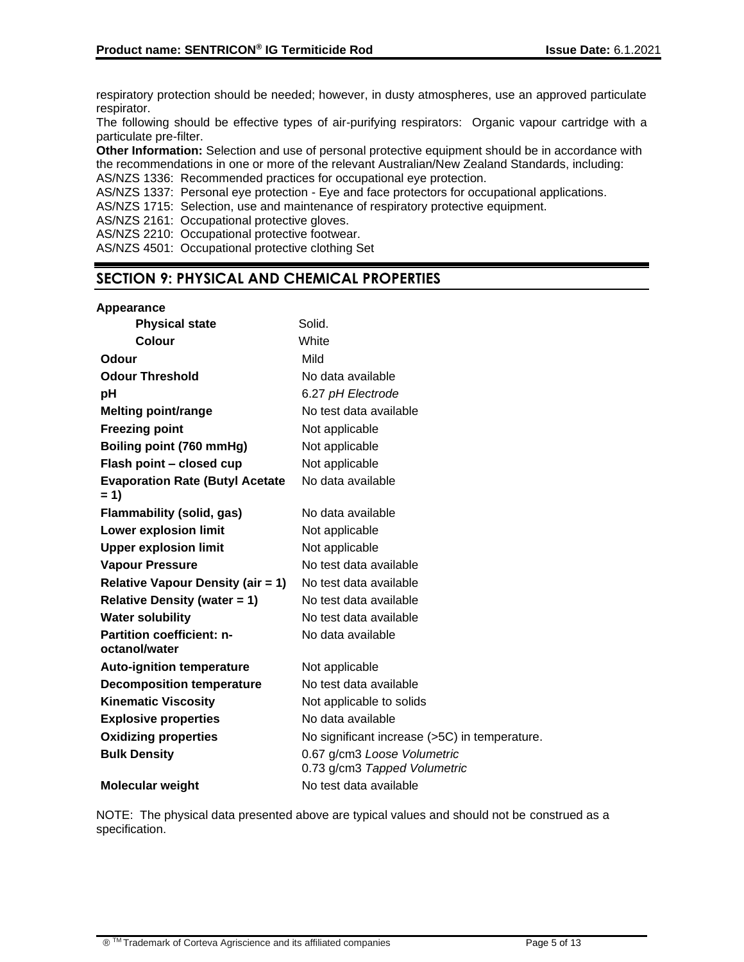respiratory protection should be needed; however, in dusty atmospheres, use an approved particulate respirator.

The following should be effective types of air-purifying respirators: Organic vapour cartridge with a particulate pre-filter.

**Other Information:** Selection and use of personal protective equipment should be in accordance with the recommendations in one or more of the relevant Australian/New Zealand Standards, including: AS/NZS 1336: Recommended practices for occupational eye protection.

AS/NZS 1337: Personal eye protection - Eye and face protectors for occupational applications.

AS/NZS 1715: Selection, use and maintenance of respiratory protective equipment.

AS/NZS 2161: Occupational protective gloves.

AS/NZS 2210: Occupational protective footwear.

AS/NZS 4501: Occupational protective clothing Set

## **SECTION 9: PHYSICAL AND CHEMICAL PROPERTIES**

### **Appearance**

| <b>Physical state</b>                             | Solid.                                                      |
|---------------------------------------------------|-------------------------------------------------------------|
| Colour                                            | White                                                       |
| Odour                                             | Mild                                                        |
| <b>Odour Threshold</b>                            | No data available                                           |
| pH                                                | 6.27 pH Electrode                                           |
| <b>Melting point/range</b>                        | No test data available                                      |
| <b>Freezing point</b>                             | Not applicable                                              |
| Boiling point (760 mmHg)                          | Not applicable                                              |
| Flash point - closed cup                          | Not applicable                                              |
| <b>Evaporation Rate (Butyl Acetate</b><br>$= 1$   | No data available                                           |
| <b>Flammability (solid, gas)</b>                  | No data available                                           |
| <b>Lower explosion limit</b>                      | Not applicable                                              |
| <b>Upper explosion limit</b>                      | Not applicable                                              |
| <b>Vapour Pressure</b>                            | No test data available                                      |
| <b>Relative Vapour Density (air = 1)</b>          | No test data available                                      |
| <b>Relative Density (water = 1)</b>               | No test data available                                      |
| <b>Water solubility</b>                           | No test data available                                      |
| <b>Partition coefficient: n-</b><br>octanol/water | No data available                                           |
| <b>Auto-ignition temperature</b>                  | Not applicable                                              |
| <b>Decomposition temperature</b>                  | No test data available                                      |
| <b>Kinematic Viscosity</b>                        | Not applicable to solids                                    |
| <b>Explosive properties</b>                       | No data available                                           |
| <b>Oxidizing properties</b>                       | No significant increase (>5C) in temperature.               |
| <b>Bulk Density</b>                               | 0.67 g/cm3 Loose Volumetric<br>0.73 g/cm3 Tapped Volumetric |
| <b>Molecular weight</b>                           | No test data available                                      |

NOTE: The physical data presented above are typical values and should not be construed as a specification.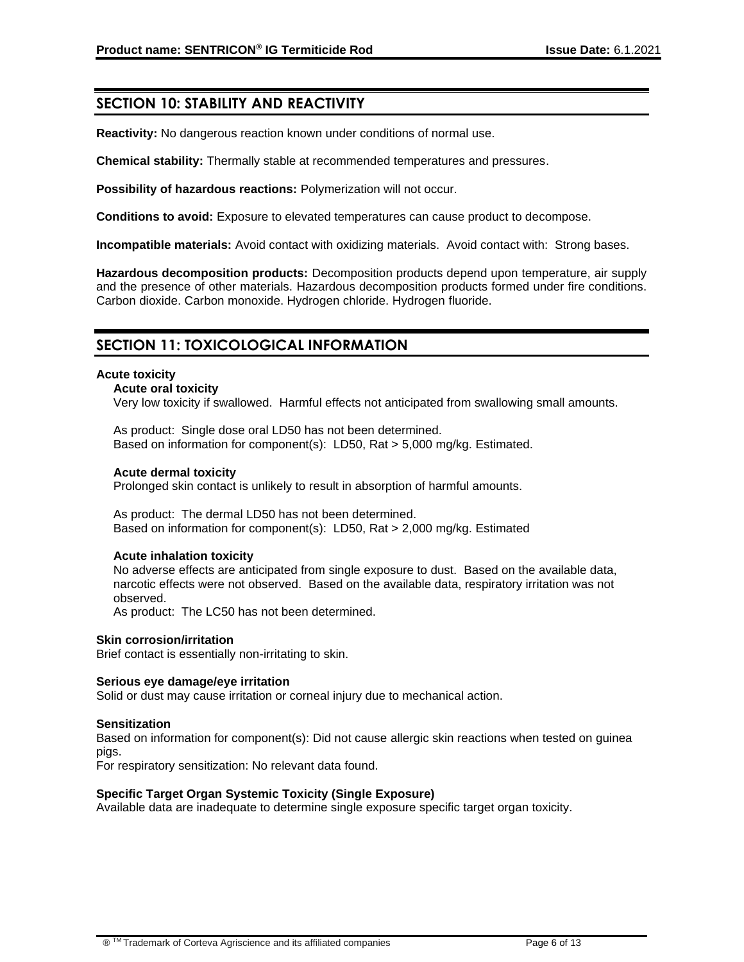## **SECTION 10: STABILITY AND REACTIVITY**

**Reactivity:** No dangerous reaction known under conditions of normal use.

**Chemical stability:** Thermally stable at recommended temperatures and pressures.

**Possibility of hazardous reactions:** Polymerization will not occur.

**Conditions to avoid:** Exposure to elevated temperatures can cause product to decompose.

**Incompatible materials:** Avoid contact with oxidizing materials. Avoid contact with: Strong bases.

**Hazardous decomposition products:** Decomposition products depend upon temperature, air supply and the presence of other materials. Hazardous decomposition products formed under fire conditions. Carbon dioxide. Carbon monoxide. Hydrogen chloride. Hydrogen fluoride.

## **SECTION 11: TOXICOLOGICAL INFORMATION**

#### **Acute toxicity**

**Acute oral toxicity**

Very low toxicity if swallowed. Harmful effects not anticipated from swallowing small amounts.

As product: Single dose oral LD50 has not been determined. Based on information for component(s): LD50, Rat > 5,000 mg/kg. Estimated.

#### **Acute dermal toxicity**

Prolonged skin contact is unlikely to result in absorption of harmful amounts.

As product: The dermal LD50 has not been determined. Based on information for component(s): LD50, Rat > 2,000 mg/kg. Estimated

#### **Acute inhalation toxicity**

No adverse effects are anticipated from single exposure to dust. Based on the available data, narcotic effects were not observed. Based on the available data, respiratory irritation was not observed.

As product: The LC50 has not been determined.

#### **Skin corrosion/irritation**

Brief contact is essentially non-irritating to skin.

#### **Serious eye damage/eye irritation**

Solid or dust may cause irritation or corneal injury due to mechanical action.

#### **Sensitization**

Based on information for component(s): Did not cause allergic skin reactions when tested on guinea pigs.

For respiratory sensitization: No relevant data found.

### **Specific Target Organ Systemic Toxicity (Single Exposure)**

Available data are inadequate to determine single exposure specific target organ toxicity.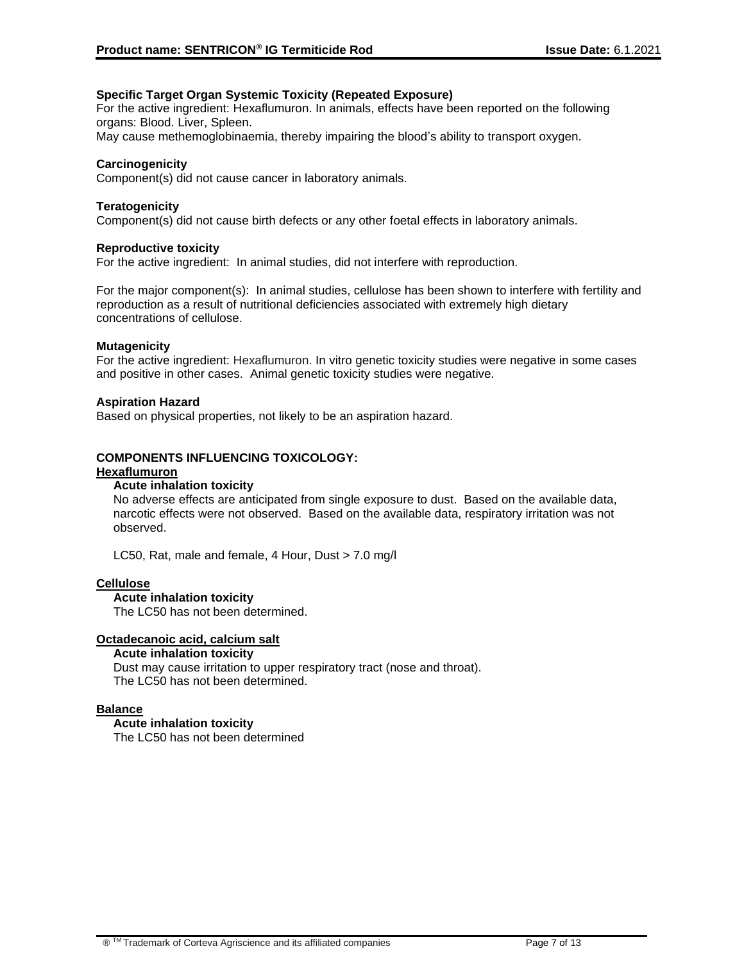### **Specific Target Organ Systemic Toxicity (Repeated Exposure)**

For the active ingredient: Hexaflumuron. In animals, effects have been reported on the following organs: Blood. Liver, Spleen.

May cause methemoglobinaemia, thereby impairing the blood's ability to transport oxygen.

### **Carcinogenicity**

Component(s) did not cause cancer in laboratory animals.

### **Teratogenicity**

Component(s) did not cause birth defects or any other foetal effects in laboratory animals.

### **Reproductive toxicity**

For the active ingredient: In animal studies, did not interfere with reproduction.

For the major component(s): In animal studies, cellulose has been shown to interfere with fertility and reproduction as a result of nutritional deficiencies associated with extremely high dietary concentrations of cellulose.

#### **Mutagenicity**

For the active ingredient: Hexaflumuron. In vitro genetic toxicity studies were negative in some cases and positive in other cases. Animal genetic toxicity studies were negative.

#### **Aspiration Hazard**

Based on physical properties, not likely to be an aspiration hazard.

### **COMPONENTS INFLUENCING TOXICOLOGY:**

#### **Hexaflumuron**

### **Acute inhalation toxicity**

No adverse effects are anticipated from single exposure to dust. Based on the available data, narcotic effects were not observed. Based on the available data, respiratory irritation was not observed.

LC50, Rat, male and female, 4 Hour, Dust > 7.0 mg/l

### **Cellulose**

### **Acute inhalation toxicity**

The LC50 has not been determined.

#### **Octadecanoic acid, calcium salt**

#### **Acute inhalation toxicity**

Dust may cause irritation to upper respiratory tract (nose and throat). The LC50 has not been determined.

### **Balance**

### **Acute inhalation toxicity**

The LC50 has not been determined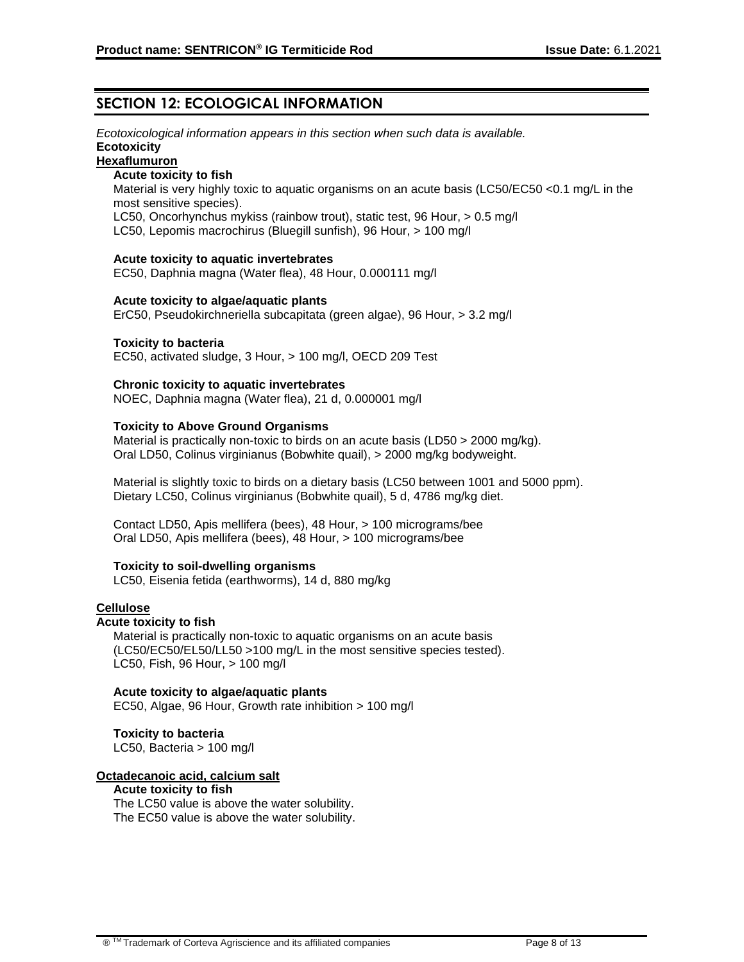## **SECTION 12: ECOLOGICAL INFORMATION**

*Ecotoxicological information appears in this section when such data is available.*  **Ecotoxicity**

## **Hexaflumuron**

## **Acute toxicity to fish**

Material is very highly toxic to aquatic organisms on an acute basis (LC50/EC50 <0.1 mg/L in the most sensitive species).

LC50, Oncorhynchus mykiss (rainbow trout), static test, 96 Hour, > 0.5 mg/l

LC50, Lepomis macrochirus (Bluegill sunfish), 96 Hour, > 100 mg/l

#### **Acute toxicity to aquatic invertebrates**

EC50, Daphnia magna (Water flea), 48 Hour, 0.000111 mg/l

#### **Acute toxicity to algae/aquatic plants**

ErC50, Pseudokirchneriella subcapitata (green algae), 96 Hour, > 3.2 mg/l

#### **Toxicity to bacteria**

EC50, activated sludge, 3 Hour, > 100 mg/l, OECD 209 Test

#### **Chronic toxicity to aquatic invertebrates**

NOEC, Daphnia magna (Water flea), 21 d, 0.000001 mg/l

### **Toxicity to Above Ground Organisms**

Material is practically non-toxic to birds on an acute basis (LD50 > 2000 mg/kg). Oral LD50, Colinus virginianus (Bobwhite quail), > 2000 mg/kg bodyweight.

Material is slightly toxic to birds on a dietary basis (LC50 between 1001 and 5000 ppm). Dietary LC50, Colinus virginianus (Bobwhite quail), 5 d, 4786 mg/kg diet.

Contact LD50, Apis mellifera (bees), 48 Hour, > 100 micrograms/bee Oral LD50, Apis mellifera (bees), 48 Hour, > 100 micrograms/bee

### **Toxicity to soil-dwelling organisms**

LC50, Eisenia fetida (earthworms), 14 d, 880 mg/kg

### **Cellulose**

#### **Acute toxicity to fish**

Material is practically non-toxic to aquatic organisms on an acute basis (LC50/EC50/EL50/LL50 >100 mg/L in the most sensitive species tested). LC50, Fish, 96 Hour, > 100 mg/l

#### **Acute toxicity to algae/aquatic plants**

EC50, Algae, 96 Hour, Growth rate inhibition > 100 mg/l

### **Toxicity to bacteria**

LC50, Bacteria > 100 mg/l

### **Octadecanoic acid, calcium salt**

### **Acute toxicity to fish**

The LC50 value is above the water solubility. The EC50 value is above the water solubility.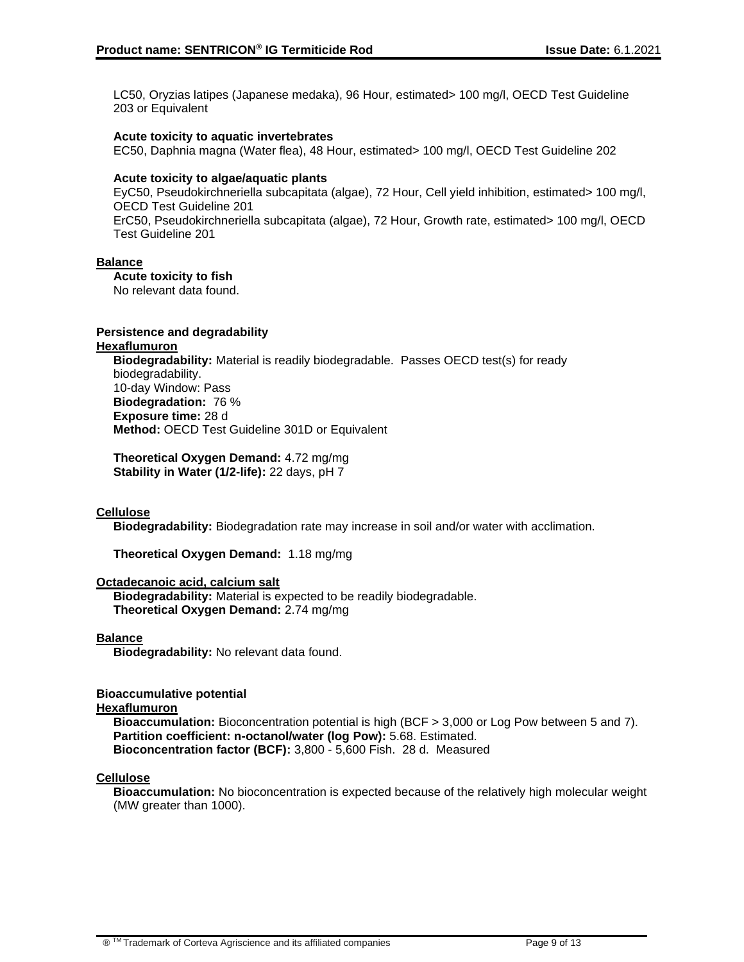LC50, Oryzias latipes (Japanese medaka), 96 Hour, estimated> 100 mg/l, OECD Test Guideline 203 or Equivalent

### **Acute toxicity to aquatic invertebrates**

EC50, Daphnia magna (Water flea), 48 Hour, estimated> 100 mg/l, OECD Test Guideline 202

### **Acute toxicity to algae/aquatic plants**

EyC50, Pseudokirchneriella subcapitata (algae), 72 Hour, Cell yield inhibition, estimated> 100 mg/l, OECD Test Guideline 201 ErC50, Pseudokirchneriella subcapitata (algae), 72 Hour, Growth rate, estimated> 100 mg/l, OECD Test Guideline 201

### **Balance**

**Acute toxicity to fish** 

No relevant data found.

### **Persistence and degradability**

#### **Hexaflumuron**

**Biodegradability:** Material is readily biodegradable. Passes OECD test(s) for ready biodegradability. 10-day Window: Pass **Biodegradation:** 76 % **Exposure time:** 28 d **Method:** OECD Test Guideline 301D or Equivalent

**Theoretical Oxygen Demand:** 4.72 mg/mg **Stability in Water (1/2-life):** 22 days, pH 7

### **Cellulose**

**Biodegradability:** Biodegradation rate may increase in soil and/or water with acclimation.

**Theoretical Oxygen Demand:** 1.18 mg/mg

### **Octadecanoic acid, calcium salt**

**Biodegradability:** Material is expected to be readily biodegradable. **Theoretical Oxygen Demand:** 2.74 mg/mg

### **Balance**

**Biodegradability:** No relevant data found.

## **Bioaccumulative potential**

### **Hexaflumuron**

**Bioaccumulation:** Bioconcentration potential is high (BCF > 3,000 or Log Pow between 5 and 7). **Partition coefficient: n-octanol/water (log Pow):** 5.68. Estimated. **Bioconcentration factor (BCF):** 3,800 - 5,600 Fish. 28 d. Measured

### **Cellulose**

**Bioaccumulation:** No bioconcentration is expected because of the relatively high molecular weight (MW greater than 1000).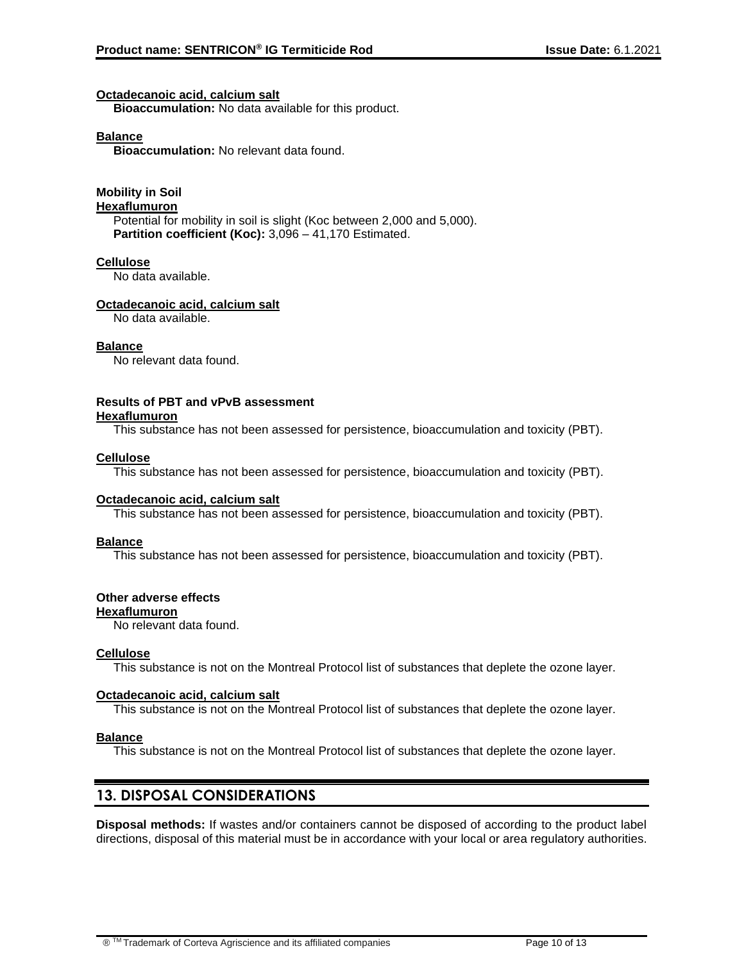### **Octadecanoic acid, calcium salt**

**Bioaccumulation:** No data available for this product.

### **Balance**

**Bioaccumulation:** No relevant data found.

# **Mobility in Soil**

**Hexaflumuron**

Potential for mobility in soil is slight (Koc between 2,000 and 5,000). **Partition coefficient (Koc):** 3,096 – 41,170 Estimated.

### **Cellulose**

No data available.

### **Octadecanoic acid, calcium salt**

No data available.

### **Balance**

No relevant data found.

#### **Results of PBT and vPvB assessment Hexaflumuron**

This substance has not been assessed for persistence, bioaccumulation and toxicity (PBT).

### **Cellulose**

This substance has not been assessed for persistence, bioaccumulation and toxicity (PBT).

### **Octadecanoic acid, calcium salt**

This substance has not been assessed for persistence, bioaccumulation and toxicity (PBT).

### **Balance**

This substance has not been assessed for persistence, bioaccumulation and toxicity (PBT).

### **Other adverse effects**

### **Hexaflumuron**

No relevant data found.

### **Cellulose**

This substance is not on the Montreal Protocol list of substances that deplete the ozone layer.

### **Octadecanoic acid, calcium salt**

This substance is not on the Montreal Protocol list of substances that deplete the ozone layer.

### **Balance**

This substance is not on the Montreal Protocol list of substances that deplete the ozone layer.

## **13. DISPOSAL CONSIDERATIONS**

**Disposal methods:** If wastes and/or containers cannot be disposed of according to the product label directions, disposal of this material must be in accordance with your local or area regulatory authorities.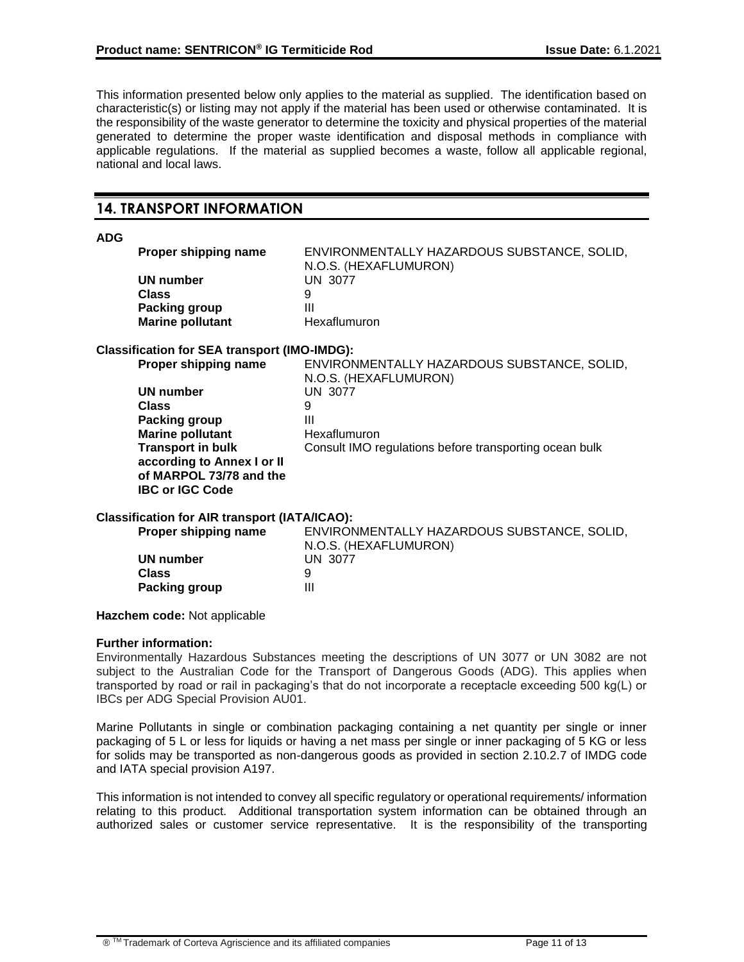This information presented below only applies to the material as supplied. The identification based on characteristic(s) or listing may not apply if the material has been used or otherwise contaminated. It is the responsibility of the waste generator to determine the toxicity and physical properties of the material generated to determine the proper waste identification and disposal methods in compliance with applicable regulations. If the material as supplied becomes a waste, follow all applicable regional, national and local laws.

## **14. TRANSPORT INFORMATION**

### **ADG**

| <b>Proper shipping name</b> | ENVIRONMENTALLY HAZARDOUS SUBSTANCE, SOLID,<br>N.O.S. (HEXAFLUMURON) |
|-----------------------------|----------------------------------------------------------------------|
| UN number                   | UN 3077                                                              |
| Class                       | 9                                                                    |
| <b>Packing group</b>        | Ш                                                                    |
| <b>Marine pollutant</b>     | Hexaflumuron                                                         |

### **Classification for SEA transport (IMO-IMDG):**

| Proper shipping name                                   | ENVIRONMENTALLY HAZARDOUS SUBSTANCE, SOLID,            |
|--------------------------------------------------------|--------------------------------------------------------|
|                                                        | N.O.S. (HEXAFLUMURON)                                  |
| UN number                                              | UN 3077                                                |
| Class                                                  | 9                                                      |
| Packing group                                          | Ш                                                      |
| <b>Marine pollutant</b>                                | Hexaflumuron                                           |
| <b>Transport in bulk</b><br>according to Annex I or II | Consult IMO regulations before transporting ocean bulk |
| of MARPOL 73/78 and the                                |                                                        |
| <b>IBC or IGC Code</b>                                 |                                                        |

### **Classification for AIR transport (IATA/ICAO):**

| Proper shipping name | ENVIRONMENTALLY HAZARDOUS SUBSTANCE, SOLID,<br>N.O.S. (HEXAFLUMURON) |
|----------------------|----------------------------------------------------------------------|
| UN number            | UN 3077                                                              |
| <b>Class</b>         |                                                                      |
| Packing group        | Ш                                                                    |

### **Hazchem code:** Not applicable

### **Further information:**

Environmentally Hazardous Substances meeting the descriptions of UN 3077 or UN 3082 are not subject to the Australian Code for the Transport of Dangerous Goods (ADG). This applies when transported by road or rail in packaging's that do not incorporate a receptacle exceeding 500 kg(L) or IBCs per ADG Special Provision AU01.

Marine Pollutants in single or combination packaging containing a net quantity per single or inner packaging of 5 L or less for liquids or having a net mass per single or inner packaging of 5 KG or less for solids may be transported as non-dangerous goods as provided in section 2.10.2.7 of IMDG code and IATA special provision A197.

This information is not intended to convey all specific regulatory or operational requirements/ information relating to this product. Additional transportation system information can be obtained through an authorized sales or customer service representative. It is the responsibility of the transporting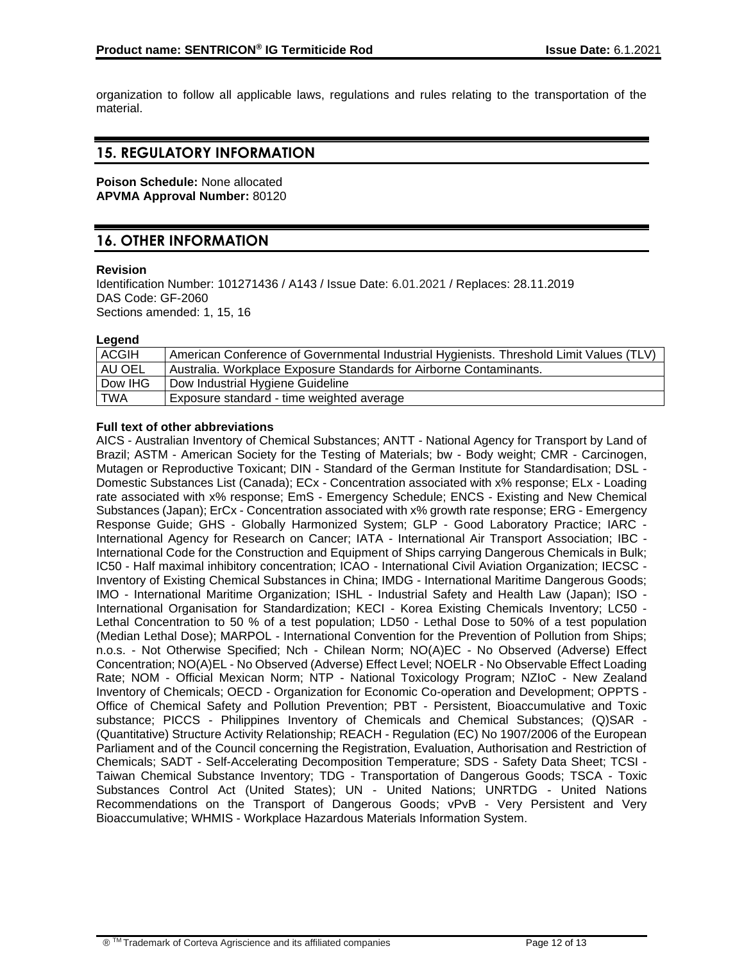organization to follow all applicable laws, regulations and rules relating to the transportation of the material.

## **15. REGULATORY INFORMATION**

**Poison Schedule:** None allocated **APVMA Approval Number:** 80120

# **16. OTHER INFORMATION**

### **Revision**

Identification Number: 101271436 / A143 / Issue Date: 6.01.2021 / Replaces: 28.11.2019 DAS Code: GF-2060 Sections amended: 1, 15, 16

### **Legend**

| <b>ACGIH</b> | American Conference of Governmental Industrial Hygienists. Threshold Limit Values (TLV) |
|--------------|-----------------------------------------------------------------------------------------|
| AU OEL       | Australia. Workplace Exposure Standards for Airborne Contaminants.                      |
| Dow IHG      | Dow Industrial Hygiene Guideline                                                        |
| TWA          | Exposure standard - time weighted average                                               |

### **Full text of other abbreviations**

AICS - Australian Inventory of Chemical Substances; ANTT - National Agency for Transport by Land of Brazil; ASTM - American Society for the Testing of Materials; bw - Body weight; CMR - Carcinogen, Mutagen or Reproductive Toxicant; DIN - Standard of the German Institute for Standardisation; DSL - Domestic Substances List (Canada); ECx - Concentration associated with x% response; ELx - Loading rate associated with x% response; EmS - Emergency Schedule; ENCS - Existing and New Chemical Substances (Japan); ErCx - Concentration associated with x% growth rate response; ERG - Emergency Response Guide; GHS - Globally Harmonized System; GLP - Good Laboratory Practice; IARC - International Agency for Research on Cancer; IATA - International Air Transport Association; IBC - International Code for the Construction and Equipment of Ships carrying Dangerous Chemicals in Bulk; IC50 - Half maximal inhibitory concentration; ICAO - International Civil Aviation Organization; IECSC - Inventory of Existing Chemical Substances in China; IMDG - International Maritime Dangerous Goods; IMO - International Maritime Organization; ISHL - Industrial Safety and Health Law (Japan); ISO - International Organisation for Standardization; KECI - Korea Existing Chemicals Inventory; LC50 - Lethal Concentration to 50 % of a test population; LD50 - Lethal Dose to 50% of a test population (Median Lethal Dose); MARPOL - International Convention for the Prevention of Pollution from Ships; n.o.s. - Not Otherwise Specified; Nch - Chilean Norm; NO(A)EC - No Observed (Adverse) Effect Concentration; NO(A)EL - No Observed (Adverse) Effect Level; NOELR - No Observable Effect Loading Rate; NOM - Official Mexican Norm; NTP - National Toxicology Program; NZIoC - New Zealand Inventory of Chemicals; OECD - Organization for Economic Co-operation and Development; OPPTS - Office of Chemical Safety and Pollution Prevention; PBT - Persistent, Bioaccumulative and Toxic substance; PICCS - Philippines Inventory of Chemicals and Chemical Substances; (Q)SAR - (Quantitative) Structure Activity Relationship; REACH - Regulation (EC) No 1907/2006 of the European Parliament and of the Council concerning the Registration, Evaluation, Authorisation and Restriction of Chemicals; SADT - Self-Accelerating Decomposition Temperature; SDS - Safety Data Sheet; TCSI - Taiwan Chemical Substance Inventory; TDG - Transportation of Dangerous Goods; TSCA - Toxic Substances Control Act (United States); UN - United Nations; UNRTDG - United Nations Recommendations on the Transport of Dangerous Goods; vPvB - Very Persistent and Very Bioaccumulative; WHMIS - Workplace Hazardous Materials Information System.